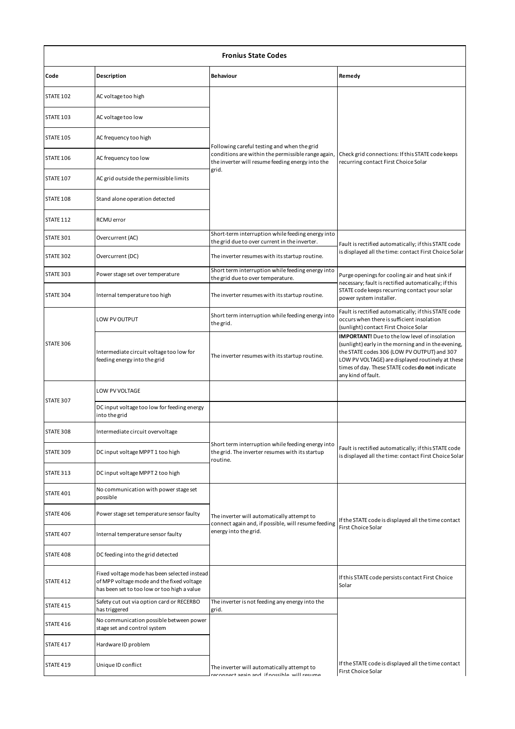| <b>Fronius State Codes</b> |                                                                                                                                          |                                                                                                                                                                |                                                                                                                                                                                                                                                                                         |  |
|----------------------------|------------------------------------------------------------------------------------------------------------------------------------------|----------------------------------------------------------------------------------------------------------------------------------------------------------------|-----------------------------------------------------------------------------------------------------------------------------------------------------------------------------------------------------------------------------------------------------------------------------------------|--|
| Code                       | Description                                                                                                                              | Behaviour                                                                                                                                                      | Remedy                                                                                                                                                                                                                                                                                  |  |
| STATE 102                  | AC voltage too high                                                                                                                      |                                                                                                                                                                |                                                                                                                                                                                                                                                                                         |  |
| STATE 103                  | AC voltage too low                                                                                                                       |                                                                                                                                                                |                                                                                                                                                                                                                                                                                         |  |
| <b>STATE 105</b>           | AC frequency too high                                                                                                                    |                                                                                                                                                                |                                                                                                                                                                                                                                                                                         |  |
| STATE 106                  | AC frequency too low                                                                                                                     | Following careful testing and when the grid<br>conditions are within the permissible range again,<br>the inverter will resume feeding energy into the<br>grid. | Check grid connections: If this STATE code keeps<br>recurring contact First Choice Solar                                                                                                                                                                                                |  |
| STATE 107                  | AC grid outside the permissible limits                                                                                                   |                                                                                                                                                                |                                                                                                                                                                                                                                                                                         |  |
| STATE 108                  | Stand alone operation detected                                                                                                           |                                                                                                                                                                |                                                                                                                                                                                                                                                                                         |  |
| STATE 112                  | RCMU error                                                                                                                               |                                                                                                                                                                |                                                                                                                                                                                                                                                                                         |  |
| STATE 301                  | Overcurrent (AC)                                                                                                                         | Short-term interruption while feeding energy into<br>the grid due to over current in the inverter.                                                             | Fault is rectified automatically; if this STATE code                                                                                                                                                                                                                                    |  |
| STATE 302                  | Overcurrent (DC)                                                                                                                         | The inverter resumes with its startup routine.                                                                                                                 | is displayed all the time: contact First Choice Solar                                                                                                                                                                                                                                   |  |
| STATE 303                  | Power stage set over temperature                                                                                                         | Short term interruption while feeding energy into<br>the grid due to over temperature.                                                                         | Purge openings for cooling air and heat sink if                                                                                                                                                                                                                                         |  |
| STATE 304                  | Internal temperature too high                                                                                                            | The inverter resumes with its startup routine.                                                                                                                 | necessary; fault is rectified automatically; if this<br>STATE code keeps recurring contact your solar<br>power system installer.                                                                                                                                                        |  |
| STATE 306                  | LOW PV OUTPUT                                                                                                                            | Short term interruption while feeding energy into<br>the grid.                                                                                                 | Fault is rectified automatically; if this STATE code<br>occurs when there is sufficient insolation<br>(sunlight) contact First Choice Solar                                                                                                                                             |  |
|                            | Intermediate circuit voltage too low for<br>feeding energy into the grid                                                                 | The inverter resumes with its startup routine.                                                                                                                 | <b>IMPORTANT!</b> Due to the low level of insolation<br>(sunlight) early in the morning and in the evening,<br>the STATE codes 306 (LOW PV OUTPUT) and 307<br>LOW PV VOLTAGE) are displayed routinely at these<br>times of day. These STATE codes do not indicate<br>any kind of fault. |  |
|                            | LOW PV VOLTAGE                                                                                                                           |                                                                                                                                                                |                                                                                                                                                                                                                                                                                         |  |
| STATE 307                  | DC input voltage too low for feeding energy<br>into the grid                                                                             |                                                                                                                                                                |                                                                                                                                                                                                                                                                                         |  |
| STATE 308                  | Intermediate circuit overvoltage                                                                                                         |                                                                                                                                                                |                                                                                                                                                                                                                                                                                         |  |
| STATE 309                  | DC input voltage MPPT 1 too high                                                                                                         | Short term interruption while feeding energy into<br>the grid. The inverter resumes with its startup<br>routine.                                               | Fault is rectified automatically; if this STATE code<br>is displayed all the time: contact First Choice Solar                                                                                                                                                                           |  |
| STATE 313                  | DC input voltage MPPT 2 too high                                                                                                         |                                                                                                                                                                |                                                                                                                                                                                                                                                                                         |  |
| STATE 401                  | No communication with power stage set<br>possible                                                                                        |                                                                                                                                                                |                                                                                                                                                                                                                                                                                         |  |
| STATE 406                  | Power stage set temperature sensor faulty                                                                                                | The inverter will automatically attempt to<br>connect again and, if possible, will resume feeding                                                              | If the STATE code is displayed all the time contact                                                                                                                                                                                                                                     |  |
| STATE 407                  | Internal temperature sensor faulty                                                                                                       | energy into the grid.                                                                                                                                          | <b>First Choice Solar</b>                                                                                                                                                                                                                                                               |  |
| STATE 408                  | DC feeding into the grid detected                                                                                                        |                                                                                                                                                                |                                                                                                                                                                                                                                                                                         |  |
| STATE 412                  | Fixed voltage mode has been selected instead<br>of MPP voltage mode and the fixed voltage<br>has been set to too low or too high a value |                                                                                                                                                                | If this STATE code persists contact First Choice<br>Solar                                                                                                                                                                                                                               |  |
| STATE 415                  | Safety cut out via option card or RECERBO<br>has triggered                                                                               | The inverter is not feeding any energy into the<br>grid.                                                                                                       |                                                                                                                                                                                                                                                                                         |  |
| STATE 416                  | No communication possible between power<br>stage set and control system                                                                  |                                                                                                                                                                |                                                                                                                                                                                                                                                                                         |  |
| STATE 417                  | Hardware ID problem                                                                                                                      |                                                                                                                                                                |                                                                                                                                                                                                                                                                                         |  |
| STATE 419                  | Unique ID conflict                                                                                                                       | The inverter will automatically attempt to<br>eronnert again and if nossible will resume                                                                       | If the STATE code is displayed all the time contact<br>First Choice Solar                                                                                                                                                                                                               |  |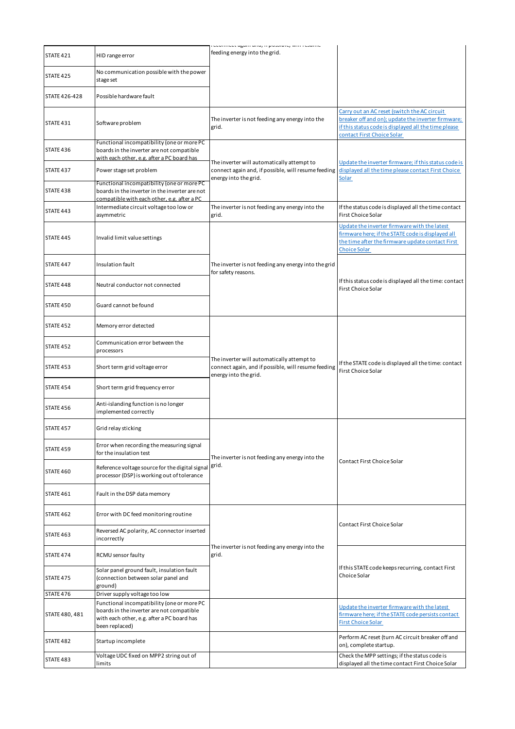|                      |                                                                                                                                                         | comment again ana, n possibili, win i csanie                                                                               |                                                                                                                                                                                          |
|----------------------|---------------------------------------------------------------------------------------------------------------------------------------------------------|----------------------------------------------------------------------------------------------------------------------------|------------------------------------------------------------------------------------------------------------------------------------------------------------------------------------------|
| STATE 421            | HID range error                                                                                                                                         | feeding energy into the grid.                                                                                              |                                                                                                                                                                                          |
| STATE 425            | No communication possible with the power<br>stage set                                                                                                   |                                                                                                                            |                                                                                                                                                                                          |
| <b>STATE 426-428</b> | Possible hardware fault                                                                                                                                 |                                                                                                                            |                                                                                                                                                                                          |
| STATE 431            | Software problem                                                                                                                                        | The inverter is not feeding any energy into the<br>grid.                                                                   | Carry out an AC reset (switch the AC circuit<br>breaker off and on); update the inverter firmware;<br>if this status code is displayed all the time please<br>contact First Choice Solar |
| STATE 436            | Functional incompatibility (one or more PC<br>boards in the inverter are not compatible<br>with each other, e.g. after a PC board has                   |                                                                                                                            |                                                                                                                                                                                          |
| STATE 437            | Power stage set problem                                                                                                                                 | The inverter will automatically attempt to<br>connect again and, if possible, will resume feeding<br>energy into the grid. | Update the inverter firmware; if this status code is<br>displayed all the time please contact First Choice<br><b>Solar</b>                                                               |
| STATE 438            | Functional incompatibility (one or more PC<br>boards in the inverter in the inverter are not<br>compatible with each other, e.g. after a PC             |                                                                                                                            |                                                                                                                                                                                          |
| STATE 443            | Intermediate circuit voltage too low or<br>asymmetric                                                                                                   | The inverter is not feeding any energy into the<br>grid.                                                                   | If the status code is displayed all the time contact<br>First Choice Solar                                                                                                               |
| STATE 445            | Invalid limit value settings                                                                                                                            |                                                                                                                            | Update the inverter firmware with the latest<br>firmware here; if the STATE code is displayed all<br>the time after the firmware update contact First<br><b>Choice Solar</b>             |
| STATE 447            | Insulation fault                                                                                                                                        | The inverter is not feeding any energy into the grid<br>for safety reasons.                                                |                                                                                                                                                                                          |
| STATE 448            | Neutral conductor not connected                                                                                                                         |                                                                                                                            | If this status code is displayed all the time: contact<br><b>First Choice Solar</b>                                                                                                      |
| STATE 450            | Guard cannot be found                                                                                                                                   |                                                                                                                            |                                                                                                                                                                                          |
| STATE 452            | Memory error detected                                                                                                                                   |                                                                                                                            |                                                                                                                                                                                          |
| STATE 452            | Communication error between the<br>processors                                                                                                           |                                                                                                                            |                                                                                                                                                                                          |
| STATE 453            | Short term grid voltage error                                                                                                                           | The inverter will automatically attempt to<br>connect again, and if possible, will resume feeding<br>energy into the grid. | If the STATE code is displayed all the time: contact<br>First Choice Solar                                                                                                               |
| STATE 454            | Short term grid frequency error                                                                                                                         |                                                                                                                            |                                                                                                                                                                                          |
| STATE 456            | Anti-islanding function is no longer<br>implemented correctly                                                                                           |                                                                                                                            |                                                                                                                                                                                          |
| STATE 457            | Grid relay sticking                                                                                                                                     |                                                                                                                            |                                                                                                                                                                                          |
| STATE 459            | Error when recording the measuring signal<br>for the insulation test                                                                                    | The inverter is not feeding any energy into the                                                                            |                                                                                                                                                                                          |
| STATE 460            | Reference voltage source for the digital signal<br>processor (DSP) is working out of tolerance                                                          | grid.                                                                                                                      | Contact First Choice Solar                                                                                                                                                               |
| STATE 461            | Fault in the DSP data memory                                                                                                                            |                                                                                                                            |                                                                                                                                                                                          |
| STATE 462            | Error with DC feed monitoring routine                                                                                                                   |                                                                                                                            | Contact First Choice Solar                                                                                                                                                               |
| STATE 463            | Reversed AC polarity, AC connector inserted<br>incorrectly                                                                                              |                                                                                                                            |                                                                                                                                                                                          |
| STATE 474            | RCMU sensor faulty                                                                                                                                      | The inverter is not feeding any energy into the<br>grid.                                                                   |                                                                                                                                                                                          |
| STATE 475            | Solar panel ground fault, insulation fault<br>(connection between solar panel and<br>ground)                                                            |                                                                                                                            | If this STATE code keeps recurring, contact First<br>Choice Solar                                                                                                                        |
| STATE 476            | Driver supply voltage too low                                                                                                                           |                                                                                                                            |                                                                                                                                                                                          |
| STATE 480, 481       | Functional incompatibility (one or more PC<br>boards in the inverter are not compatible<br>with each other, e.g. after a PC board has<br>been replaced) |                                                                                                                            | Update the inverter firmware with the latest<br>firmware here; if the STATE code persists contact<br><b>First Choice Solar</b>                                                           |
| STATE 482            | Startup incomplete                                                                                                                                      |                                                                                                                            | Perform AC reset (turn AC circuit breaker off and<br>on), complete startup.                                                                                                              |
| STATE 483            | Voltage UDC fixed on MPP2 string out of<br>limits                                                                                                       |                                                                                                                            | Check the MPP settings; if the status code is<br>displayed all the time contact First Choice Solar                                                                                       |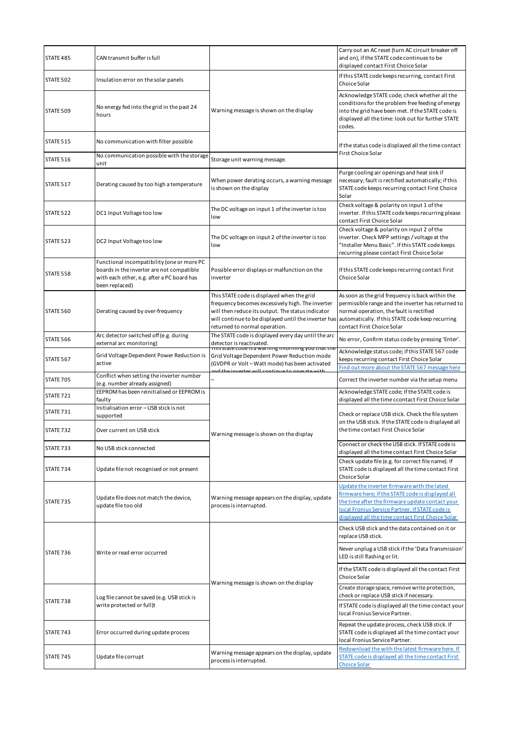| STATE 485 | CAN transmit buffer is full                                                                                                                             |                                                                                                                                                                                                                                              | Carry out an AC reset (turn AC circuit breaker off<br>and on), if the STATE code continues to be<br>displayed contact First Choice Solar                                                                                                                     |
|-----------|---------------------------------------------------------------------------------------------------------------------------------------------------------|----------------------------------------------------------------------------------------------------------------------------------------------------------------------------------------------------------------------------------------------|--------------------------------------------------------------------------------------------------------------------------------------------------------------------------------------------------------------------------------------------------------------|
| STATE 502 | Insulation error on the solar panels                                                                                                                    |                                                                                                                                                                                                                                              | If this STATE code keeps recurring, contact First<br>Choice Solar                                                                                                                                                                                            |
| STATE 509 | No energy fed into the grid in the past 24<br>hours                                                                                                     | Warning message is shown on the display                                                                                                                                                                                                      | Acknowledge STATE code; check whether all the<br>conditions for the problem free feeding of energy<br>into the grid have been met. If the STATE code is<br>displayed all the time: look out for further STATE<br>codes.                                      |
| STATE 515 | No communication with filter possible                                                                                                                   |                                                                                                                                                                                                                                              | If the status code is displayed all the time contact                                                                                                                                                                                                         |
| STATE 516 | No communication possible with the storage<br>unit                                                                                                      | Storage unit warning message.                                                                                                                                                                                                                | <b>First Choice Solar</b>                                                                                                                                                                                                                                    |
| STATE 517 | Derating caused by too high a temperature                                                                                                               | When power derating occurs, a warning message<br>is shown on the display                                                                                                                                                                     | Purge cooling air openings and heat sink if<br>necessary; fault is rectified automatically; if this<br>STATE code keeps recurring contact First Choice<br>Solar                                                                                              |
| STATE 522 | DC1 Input Voltage too low                                                                                                                               | The DC voltage on input 1 of the inverter is too<br>low                                                                                                                                                                                      | Check voltage & polarity on input 1 of the<br>inverter. If this STATE code keeps recurring please<br>contact First Choice Solar                                                                                                                              |
| STATE 523 | DC2 Input Voltage too low                                                                                                                               | The DC voltage on input 2 of the inverter is too<br>low                                                                                                                                                                                      | Check voltage & polarity on input 2 of the<br>inverter. Check MPP settings / voltage at the<br>"Installer Menu Basic". If this STATE code keeps<br>recurring please contact First Choice Solar                                                               |
| STATE 558 | Functional incompatibility (one or more PC<br>boards in the inverter are not compatible<br>with each other, e.g. after a PC board has<br>been replaced) | Possible error displays or malfunction on the<br>inverter                                                                                                                                                                                    | If this STATE code keeps recurring contact First<br>Choice Solar                                                                                                                                                                                             |
| STATE 560 | Derating caused by over-frequency                                                                                                                       | This STATE code is displayed when the grid<br>frequency becomes excessively high. The inverter<br>will then reduce its output. The status indicator<br>will continue to be displayed until the inverter has<br>returned to normal operation. | As soon as the grid frequency is back within the<br>permissible range and the inverter has returned to<br>normal operation, the fault is rectified<br>automatically. If this STATE code keep recurring<br>contact First Choice Solar                         |
| STATE 566 | Arc detector switched off (e.g. during<br>external arc monitoring)                                                                                      | The STATE code is displayed every day until the arc<br>detector is reactivated.<br>This state code is a warning miorning you that the                                                                                                        | No error, Confirm status code by pressing 'Enter'.                                                                                                                                                                                                           |
| STATE 567 | Grid Voltage Dependent Power Reduction is<br>active                                                                                                     | Grid Voltage Dependent Power Reduction mode<br>(GVDPR or Volt - Watt mode) has been activated                                                                                                                                                | Acknowledge status code; if this STATE 567 code<br>keeps recurring contact First Choice Solar<br>Find out more about the STATE 567 message here                                                                                                              |
| STATE 705 | Conflict when setting the inverter number<br>(e.g. number already assigned)                                                                             | nd the inverter will continue to operate                                                                                                                                                                                                     | Correct the inverter number via the setup menu                                                                                                                                                                                                               |
| STATE 721 | EEPROM has been reinitialised or EEPROM is<br>faulty                                                                                                    |                                                                                                                                                                                                                                              | Acknowledge STATE code; If the STATE code is<br>displayed all the time ccontact First Choice Solar                                                                                                                                                           |
| STATE 731 | Initialisation error - USB stick is not<br>supported                                                                                                    |                                                                                                                                                                                                                                              | Check or replace USB stick. Check the file system<br>on the USB stick. If the STATE code is displayed all                                                                                                                                                    |
| STATE 732 | Over current on USB stick                                                                                                                               | Warning message is shown on the display                                                                                                                                                                                                      | the time contact First Choice Solar                                                                                                                                                                                                                          |
| STATE 733 | No USB stick connected                                                                                                                                  |                                                                                                                                                                                                                                              | Connect or check the USB stick. If STATE code is<br>displayed all the time contact First Choice Solar                                                                                                                                                        |
| STATE 734 | Update file not recognised or not present                                                                                                               |                                                                                                                                                                                                                                              | Check update file (e.g. for correct file name). If<br>STATE code is displayed all the time contact First<br>Choice Solar                                                                                                                                     |
| STATE 735 | Update file does not match the device,<br>update file too old                                                                                           | Warning message appears on the display, update<br>process is interrupted.                                                                                                                                                                    | Update the inverter firmware with the latest<br>firmware here; if the STATE code is displayed all<br>the time after the firmware update contact your<br>local Fronius Service Partner. If STATE code is<br>displayed all the time contact First Choice Solar |
|           |                                                                                                                                                         |                                                                                                                                                                                                                                              | Check USB stick and the data contained on it or<br>replace USB stick.                                                                                                                                                                                        |
| STATE 736 | Write or read error occurred                                                                                                                            | Warning message is shown on the display                                                                                                                                                                                                      | Never unplug a USB stick if the 'Data Transmission'<br>LED is still flashing or lit.                                                                                                                                                                         |
| STATE 738 | Log file cannot be saved (e.g. USB stick is                                                                                                             |                                                                                                                                                                                                                                              | If the STATE code is displayed all the contact First<br>Choice Solar                                                                                                                                                                                         |
|           |                                                                                                                                                         |                                                                                                                                                                                                                                              | Create storage space, remove write protection,<br>check or replace USB stick if necessary.                                                                                                                                                                   |
|           | write protected or full)t                                                                                                                               |                                                                                                                                                                                                                                              | If STATE code is displayed all the time contact your<br>local Fronius Service Partner.                                                                                                                                                                       |
| STATE 743 | Error occurred during update process                                                                                                                    |                                                                                                                                                                                                                                              | Repeat the update process, check USB stick. If<br>STATE code is displayed all the time contact your<br>local Fronius Service Partner.                                                                                                                        |
| STATE 745 | Update file corrupt                                                                                                                                     | Warning message appears on the display, update<br>process is interrupted.                                                                                                                                                                    | Redownload the with the latest firmware here. If<br>STATE code is displayed all the time contact First<br><b>Choice Solar</b>                                                                                                                                |